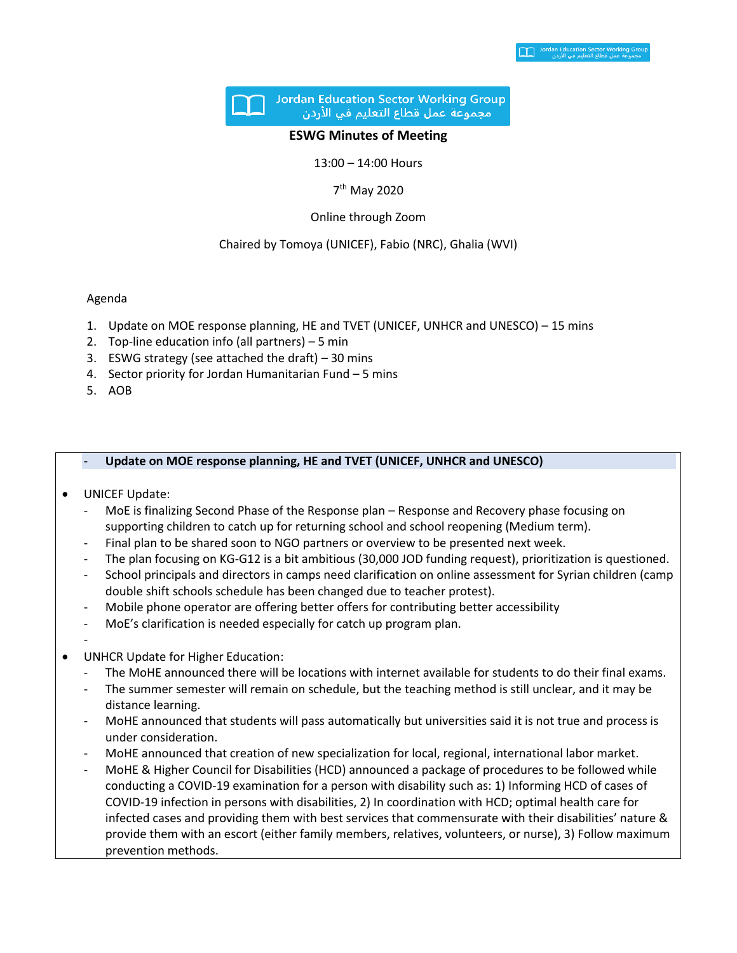

#### **ESWG Minutes of Meeting**

13:00 – 14:00 Hours

7<sup>th</sup> May 2020

Online through Zoom

## Chaired by Tomoya (UNICEF), Fabio (NRC), Ghalia (WVI)

# Agenda

- 1. Update on MOE response planning, HE and TVET (UNICEF, UNHCR and UNESCO) 15 mins
- 2. Top-line education info (all partners) 5 min
- 3. ESWG strategy (see attached the draft) 30 mins
- 4. Sector priority for Jordan Humanitarian Fund 5 mins
- 5. AOB

## - **Update on MOE response planning, HE and TVET (UNICEF, UNHCR and UNESCO)**

# • UNICEF Update:

- MoE is finalizing Second Phase of the Response plan Response and Recovery phase focusing on supporting children to catch up for returning school and school reopening (Medium term).
- Final plan to be shared soon to NGO partners or overview to be presented next week.
- The plan focusing on KG-G12 is a bit ambitious (30,000 JOD funding request), prioritization is questioned.
- School principals and directors in camps need clarification on online assessment for Syrian children (camp double shift schools schedule has been changed due to teacher protest).
- Mobile phone operator are offering better offers for contributing better accessibility
- MoE's clarification is needed especially for catch up program plan.
- -
- UNHCR Update for Higher Education:
	- The MoHE announced there will be locations with internet available for students to do their final exams.
	- The summer semester will remain on schedule, but the teaching method is still unclear, and it may be distance learning.
	- MoHE announced that students will pass automatically but universities said it is not true and process is under consideration.
	- MoHE announced that creation of new specialization for local, regional, international labor market.
	- MoHE & Higher Council for Disabilities (HCD) announced a package of procedures to be followed while conducting a COVID-19 examination for a person with disability such as: 1) Informing HCD of cases of COVID-19 infection in persons with disabilities, 2) In coordination with HCD; optimal health care for infected cases and providing them with best services that commensurate with their disabilities' nature & provide them with an escort (either family members, relatives, volunteers, or nurse), 3) Follow maximum prevention methods.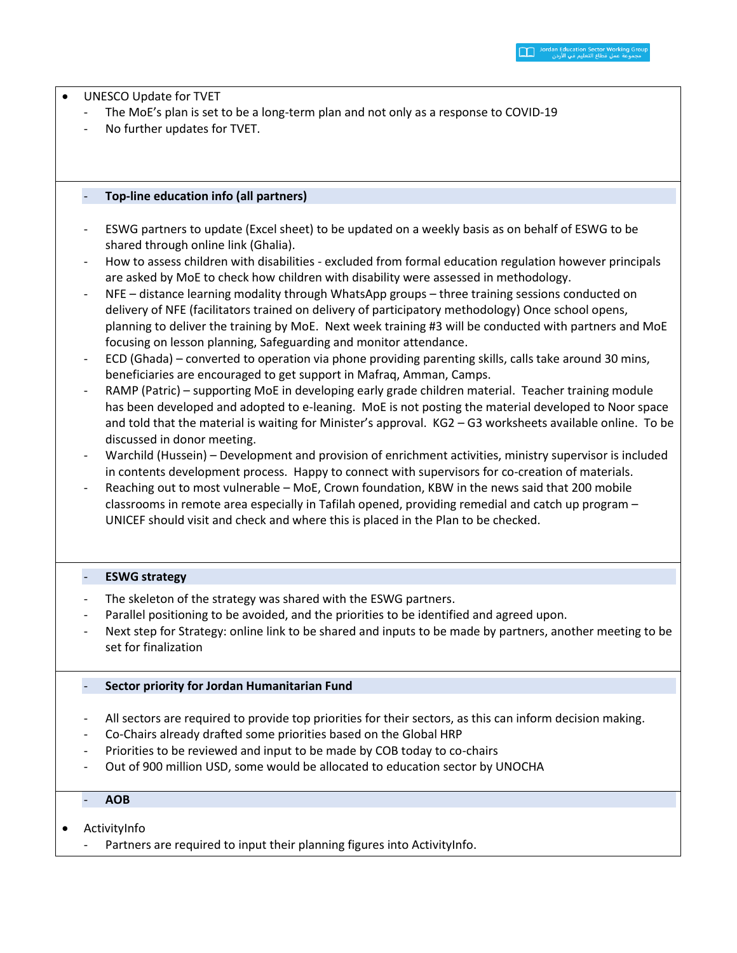• UNESCO Update for TVET

- The MoE's plan is set to be a long-term plan and not only as a response to COVID-19
- No further updates for TVET.

# - **Top-line education info (all partners)**

- ESWG partners to update (Excel sheet) to be updated on a weekly basis as on behalf of ESWG to be shared through online link (Ghalia).
- How to assess children with disabilities excluded from formal education regulation however principals are asked by MoE to check how children with disability were assessed in methodology.
- NFE distance learning modality through WhatsApp groups three training sessions conducted on delivery of NFE (facilitators trained on delivery of participatory methodology) Once school opens, planning to deliver the training by MoE. Next week training #3 will be conducted with partners and MoE focusing on lesson planning, Safeguarding and monitor attendance.
- ECD (Ghada) converted to operation via phone providing parenting skills, calls take around 30 mins, beneficiaries are encouraged to get support in Mafraq, Amman, Camps.
- RAMP (Patric) supporting MoE in developing early grade children material. Teacher training module has been developed and adopted to e-leaning. MoE is not posting the material developed to Noor space and told that the material is waiting for Minister's approval. KG2 – G3 worksheets available online. To be discussed in donor meeting.
- Warchild (Hussein) Development and provision of enrichment activities, ministry supervisor is included in contents development process. Happy to connect with supervisors for co-creation of materials.
- Reaching out to most vulnerable MoE, Crown foundation, KBW in the news said that 200 mobile classrooms in remote area especially in Tafilah opened, providing remedial and catch up program – UNICEF should visit and check and where this is placed in the Plan to be checked.

# - **ESWG strategy**

- The skeleton of the strategy was shared with the ESWG partners.
- Parallel positioning to be avoided, and the priorities to be identified and agreed upon.
- Next step for Strategy: online link to be shared and inputs to be made by partners, another meeting to be set for finalization

# - **Sector priority for Jordan Humanitarian Fund**

- All sectors are required to provide top priorities for their sectors, as this can inform decision making.
- Co-Chairs already drafted some priorities based on the Global HRP
- Priorities to be reviewed and input to be made by COB today to co-chairs
- Out of 900 million USD, some would be allocated to education sector by UNOCHA

# - **AOB**

- ActivityInfo
	- Partners are required to input their planning figures into ActivityInfo.